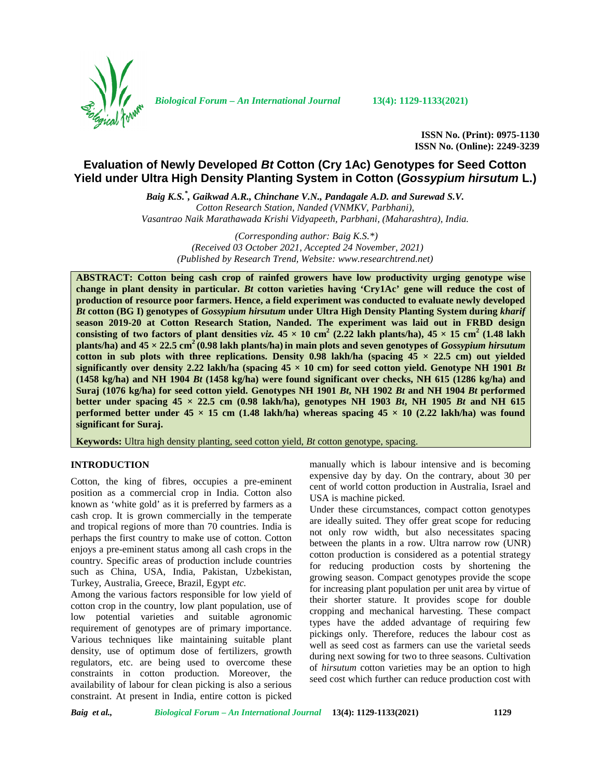

*Biological Forum – An International Journal* **13(4): 1129-1133(2021)**

**ISSN No. (Print): 0975-1130 ISSN No. (Online): 2249-3239**

# **Evaluation of Newly Developed** *Bt* **Cotton (Cry 1Ac) Genotypes for Seed Cotton Yield under Ultra High Density Planting System in Cotton (***Gossypium hirsutum* **L.)**

*Baig K.S.\* , Gaikwad A.R., Chinchane V.N., Pandagale A.D. and Surewad S.V. Cotton Research Station, Nanded (VNMKV, Parbhani), Vasantrao Naik Marathawada Krishi Vidyapeeth, Parbhani, (Maharashtra), India.*

*(Corresponding author: Baig K.S.\*) (Received 03 October 2021, Accepted 24 November, 2021) (Published by Research Trend, Website: <www.researchtrend.net>)*

**ABSTRACT: Cotton being cash crop of rainfed growers have low productivity urging genotype wise change in plant density in particular.** *Bt* **cotton varieties having 'Cry1Ac' gene will reduce the cost of production of resource poor farmers. Hence, a field experiment was conducted to evaluate newly developed** *Bt* **cotton (BG I) genotypes of** *Gossypium hirsutum* **under Ultra High Density Planting System during** *kharif* **season 2019-20 at Cotton Research Station, Nanded. The experiment was laid out in FRBD design consisting of two factors of plant densities** *viz.*  $45 \times 10 \text{ cm}^2$  (2.22 lakh plants/ha),  $45 \times 15 \text{ cm}^2$  (1.48 lakh) **plants/ha) and 45 × 22.5 cm<sup>2</sup> (0.98 lakh plants/ha) in main plots and seven genotypes of** *Gossypium hirsutum* **cotton in sub plots with three replications. Density**  $0.98$  **lakh/ha (spacing**  $45 \times 22.5$  **cm) out yielded** significantly over density 2.22 lakh/ha (spacing  $45 \times 10$  cm) for seed cotton yield. Genotype NH 1901 *Bt* **(1458 kg/ha) and NH 1904** *Bt* **(1458 kg/ha) were found significant over checks, NH 615 (1286 kg/ha) and Suraj (1076 kg/ha) for seed cotton yield. Genotypes NH 1901** *Bt***, NH 1902** *Bt* **and NH 1904** *Bt* **performed better under spacing**  $45 \times 22.5$  **cm (0.98 lakh/ha), genotypes NH 1903** *Bt***, NH 1905** *Bt* **and NH 615 performed better under**  $45 \times 15$  **cm (1.48 lakh/ha) whereas spacing**  $45 \times 10$  **(2.22 lakh/ha) was found significant for Suraj.**

**Keywords:** Ultra high density planting, seed cotton yield, *Bt* cotton genotype, spacing.

## **INTRODUCTION**

Cotton, the king of fibres, occupies a pre-eminent position as a commercial crop in India. Cotton also known as 'white gold' as it is preferred by farmers as a cash crop. It is grown commercially in the temperate and tropical regions of more than 70 countries. India is perhaps the first country to make use of cotton. Cotton enjoys a pre-eminent status among all cash crops in the country. Specific areas of production include countries such as China, USA, India, Pakistan, Uzbekistan, Turkey, Australia, Greece, Brazil, Egypt *etc.*

Among the various factors responsible for low yield of cotton crop in the country, low plant population, use of low potential varieties and suitable agronomic requirement of genotypes are of primary importance. Various techniques like maintaining suitable plant density, use of optimum dose of fertilizers, growth regulators, etc. are being used to overcome these constraints in cotton production. Moreover, the availability of labour for clean picking is also a serious constraint. At present in India, entire cotton is picked

manually which is labour intensive and is becoming expensive day by day. On the contrary, about 30 per cent of world cotton production in Australia, Israel and USA is machine picked.

Under these circumstances, compact cotton genotypes are ideally suited. They offer great scope for reducing not only row width, but also necessitates spacing between the plants in a row. Ultra narrow row (UNR) cotton production is considered as a potential strategy for reducing production costs by shortening the growing season. Compact genotypes provide the scope for increasing plant population per unit area by virtue of their shorter stature. It provides scope for double cropping and mechanical harvesting. These compact types have the added advantage of requiring few pickings only. Therefore, reduces the labour cost as well as seed cost as farmers can use the varietal seeds during next sowing for two to three seasons. Cultivation of *hirsutum* cotton varieties may be an option to high seed cost which further can reduce production cost with

*Baig et al., Biological Forum – An International Journal* **13(4): 1129-1133(2021) 1129**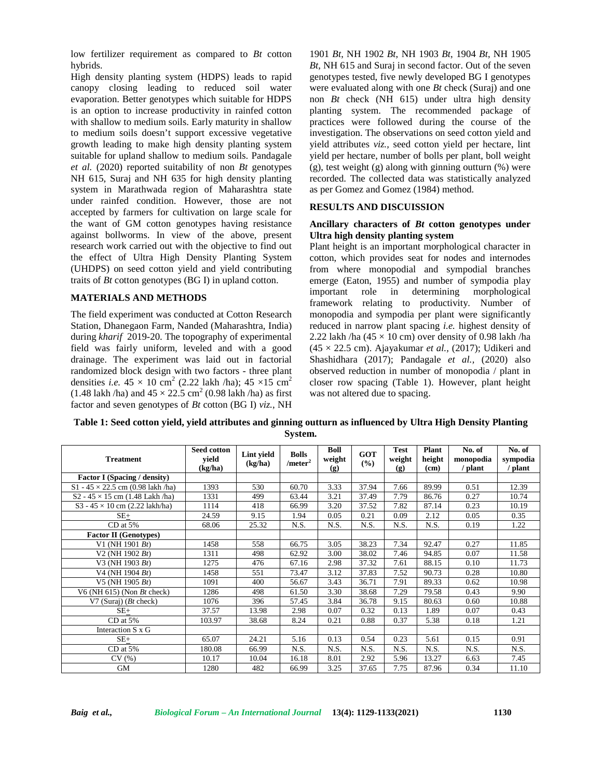low fertilizer requirement as compared to *Bt* cotton hybrids.

High density planting system (HDPS) leads to rapid canopy closing leading to reduced soil water evaporation. Better genotypes which suitable for HDPS is an option to increase productivity in rainfed cotton with shallow to medium soils. Early maturity in shallow to medium soils doesn't support excessive vegetative growth leading to make high density planting system suitable for upland shallow to medium soils. Pandagale *et al.* (2020) reported suitability of non *Bt* genotypes NH 615, Suraj and NH 635 for high density planting system in Marathwada region of Maharashtra state under rainfed condition. However, those are not accepted by farmers for cultivation on large scale for the want of GM cotton genotypes having resistance against bollworms. In view of the above, present research work carried out with the objective to find out the effect of Ultra High Density Planting System (UHDPS) on seed cotton yield and yield contributing traits of *Bt* cotton genotypes (BG I) in upland cotton.

## **MATERIALS AND METHODS**

The field experiment was conducted at Cotton Research Station, Dhanegaon Farm, Nanded (Maharashtra, India) during *kharif* 2019-20. The topography of experimental field was fairly uniform, leveled and with a good drainage. The experiment was laid out in factorial randomized block design with two factors - three plant densities *i.e.*  $45 \times 10 \text{ cm}^2$  (2.22 lakh /ha);  $45 \times 15 \text{ cm}^2$ (1.48 lakh /ha) and  $45 \times 22.5$  cm<sup>2</sup> (0.98 lakh /ha) as first factor and seven genotypes of *Bt* cotton (BG I) *viz.*, NH

1901 *Bt*, NH 1902 *Bt*, NH 1903 *Bt*, 1904 *Bt*, NH 1905 *Bt*, NH 615 and Suraj in second factor. Out of the seven genotypes tested, five newly developed BG I genotypes were evaluated along with one *Bt*check (Suraj) and one non *Bt* check (NH 615) under ultra high density planting system. The recommended package of practices were followed during the course of the investigation. The observations on seed cotton yield and yield attributes *viz.,* seed cotton yield per hectare, lint yield per hectare, number of bolls per plant, boll weight (g), test weight (g) along with ginning outturn (%) were recorded. The collected data was statistically analyzed as per Gomez and Gomez (1984) method.

## **RESULTS AND DISCUISSION**

### **Ancillary characters of** *Bt* **cotton genotypes under Ultra high density planting system**

Plant height is an important morphological character in cotton, which provides seat for nodes and internodes from where monopodial and sympodial branches emerge (Eaton, 1955) and number of sympodia play<br>important role in determining morphological important role in determining morphological framework relating to productivity. Number of monopodia and sympodia per plant were significantly reduced in narrow plant spacing *i.e.* highest density of 2.22 lakh /ha (45  $\times$  10 cm) over density of 0.98 lakh /ha (45 × 22.5 cm). Ajayakumar *et al.,* (2017); Udikeri and Shashidhara (2017); Pandagale *et al.,* (2020) also observed reduction in number of monopodia / plant in closer row spacing (Table 1). However, plant height was not altered due to spacing.

**Table 1: Seed cotton yield, yield attributes and ginning outturn as influenced by Ultra High Density Planting System.**

| <b>Treatment</b>                         | Seed cotton<br>yield<br>(kg/ha) | Lint yield<br>(kg/ha) | <b>Bolls</b><br>$/$ meter <sup>2</sup> | Boll<br>weight<br>(g) | <b>GOT</b><br>(9/0) | Test<br>weight<br>(g) | Plant<br>height<br>(c <sub>m</sub> ) | No. of<br>monopodia<br>/ plant | No. of<br>sympodia<br>/ plant |
|------------------------------------------|---------------------------------|-----------------------|----------------------------------------|-----------------------|---------------------|-----------------------|--------------------------------------|--------------------------------|-------------------------------|
| <b>Factor I</b> (Spacing / density)      |                                 |                       |                                        |                       |                     |                       |                                      |                                |                               |
| S1 - $45 \times 22.5$ cm (0.98 lakh /ha) | 1393                            | 530                   | 60.70                                  | 3.33                  | 37.94               | 7.66                  | 89.99                                | 0.51                           | 12.39                         |
| $S2 - 45 \times 15$ cm (1.48 Lakh /ha)   | 1331                            | 499                   | 63.44                                  | 3.21                  | 37.49               | 7.79                  | 86.76                                | 0.27                           | 10.74                         |
| $S3 - 45 \times 10$ cm (2.22 lakh/ha)    | 1114                            | 418                   | 66.99                                  | 3.20                  | 37.52               | 7.82                  | 87.14                                | 0.23                           | 10.19                         |
| $SE+$                                    | 24.59                           | 9.15                  | 1.94                                   | 0.05                  | 0.21                | 0.09                  | 2.12                                 | 0.05                           | 0.35                          |
| $CD$ at 5%                               | 68.06                           | 25.32                 | N.S.                                   | N.S.                  | N.S.                | N.S.                  | N.S.                                 | 0.19                           | 1.22                          |
| <b>Factor II</b> (Genotypes)             |                                 |                       |                                        |                       |                     |                       |                                      |                                |                               |
| V1 (NH 1901 $B_t$ )                      | 1458                            | 558                   | 66.75                                  | 3.05                  | 38.23               | 7.34                  | 92.47                                | 0.27                           | 11.85                         |
| $V2$ (NH 1902 $Bt$ )                     | 1311                            | 498                   | 62.92                                  | 3.00                  | 38.02               | 7.46                  | 94.85                                | 0.07                           | 11.58                         |
| V3 (NH 1903 $B_t$ )                      | 1275                            | 476                   | 67.16                                  | 2.98                  | 37.32               | 7.61                  | 88.15                                | 0.10                           | 11.73                         |
| $V4$ (NH 1904 $Bt$ )                     | 1458                            | 551                   | 73.47                                  | 3.12                  | 37.83               | 7.52                  | 90.73                                | 0.28                           | 10.80                         |
| V5 (NH 1905 $B_t$ )                      | 1091                            | 400                   | 56.67                                  | 3.43                  | 36.71               | 7.91                  | 89.33                                | 0.62                           | 10.98                         |
| V6 (NH $615$ ) (Non <i>Bt</i> check)     | 1286                            | 498                   | 61.50                                  | 3.30                  | 38.68               | 7.29                  | 79.58                                | 0.43                           | 9.90                          |
| V7 (Suraj) $(Bt \text{ check})$          | 1076                            | 396                   | 57.45                                  | 3.84                  | 36.78               | 9.15                  | 80.63                                | 0.60                           | 10.88                         |
| $SE+$                                    | 37.57                           | 13.98                 | 2.98                                   | 0.07                  | 0.32                | 0.13                  | 1.89                                 | 0.07                           | 0.43                          |
| $CD$ at 5%                               | 103.97                          | 38.68                 | 8.24                                   | 0.21                  | 0.88                | 0.37                  | 5.38                                 | 0.18                           | 1.21                          |
| Interaction S x G                        |                                 |                       |                                        |                       |                     |                       |                                      |                                |                               |
| $SE+$                                    | 65.07                           | 24.21                 | 5.16                                   | 0.13                  | 0.54                | 0.23                  | 5.61                                 | 0.15                           | 0.91                          |
| $CD$ at $5\%$                            | 180.08                          | 66.99                 | N.S.                                   | N.S.                  | N.S.                | N.S.                  | N.S.                                 | N.S.                           | N.S.                          |
| CV(%)                                    | 10.17                           | 10.04                 | 16.18                                  | 8.01                  | 2.92                | 5.96                  | 13.27                                | 6.63                           | 7.45                          |
| <b>GM</b>                                | 1280                            | 482                   | 66.99                                  | 3.25                  | 37.65               | 7.75                  | 87.96                                | 0.34                           | 11.10                         |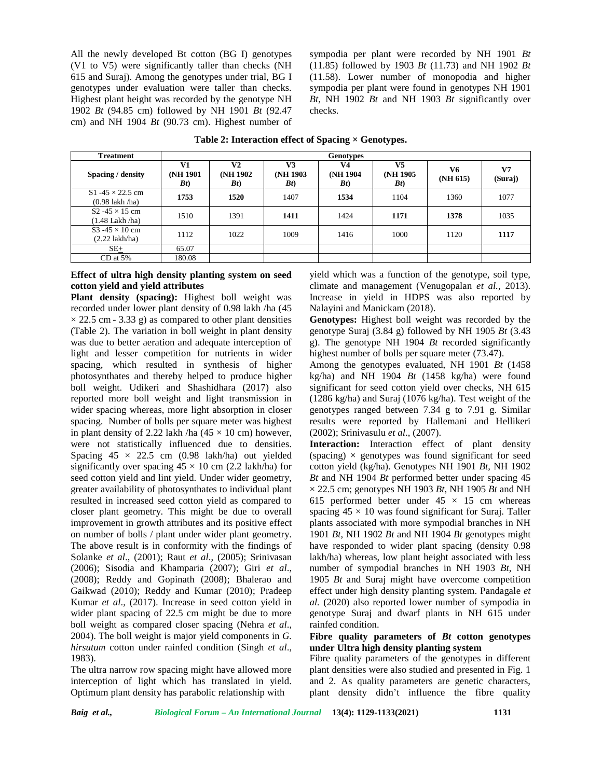All the newly developed Bt cotton (BG I) genotypes (V1 to V5) were significantly taller than checks (NH 615 and Suraj). Among the genotypes under trial, BG I genotypes under evaluation were taller than checks. Highest plant height was recorded by the genotype NH 1902 *Bt* (94.85 cm) followed by NH 1901 *Bt* (92.47 cm) and NH 1904 *Bt* (90.73 cm). Highest number of sympodia per plant were recorded by NH 1901 *Bt* (11.85) followed by 1903 *Bt* (11.73) and NH 1902 *Bt* (11.58). Lower number of monopodia and higher sympodia per plant were found in genotypes NH 1901 *Bt*, NH 1902 *Bt* and NH 1903 *Bt* significantly over checks.

| <b>Treatment</b>                                    | <b>Genotypes</b>        |                                     |                         |                                     |                                     |                |                           |  |  |  |
|-----------------------------------------------------|-------------------------|-------------------------------------|-------------------------|-------------------------------------|-------------------------------------|----------------|---------------------------|--|--|--|
| Spacing / density                                   | V1<br>(NH 1901)<br>B(t) | V <sub>2</sub><br>(NH 1902)<br>B(t) | V3<br>(NH 1903)<br>B(t) | V <sub>4</sub><br>(NH 1904)<br>B(t) | V <sub>5</sub><br>(NH 1905)<br>B(t) | V6<br>(NH 615) | V <sub>7</sub><br>(Suraj) |  |  |  |
| S1 -45 $\times$ 22.5 cm<br>$(0.98$ lakh /ha)        | 1753                    | 1520                                | 1407                    | 1534                                | 1104                                | 1360           | 1077                      |  |  |  |
| S2 -45 $\times$ 15 cm<br>(1.48 Lakh /ha)            | 1510                    | 1391                                | 1411                    | 1424                                | 1171                                | 1378           | 1035                      |  |  |  |
| S3 -45 $\times$ 10 cm<br>$(2.22 \, \text{lakh/ha})$ | 1112                    | 1022                                | 1009                    | 1416                                | 1000                                | 1120           | 1117                      |  |  |  |
| $SE+$                                               | 65.07                   |                                     |                         |                                     |                                     |                |                           |  |  |  |
| $CD$ at 5%                                          | 180.08                  |                                     |                         |                                     |                                     |                |                           |  |  |  |

**Table 2: Interaction effect of Spacing × Genotypes.**

## **Effect of ultra high density planting system on seed cotton yield and yield attributes**

**Plant density (spacing):** Highest boll weight was recorded under lower plant density of 0.98 lakh /ha (45  $\times$  22.5 cm - 3.33 g) as compared to other plant densities (Table 2). The variation in boll weight in plant density was due to better aeration and adequate interception of light and lesser competition for nutrients in wider spacing, which resulted in synthesis of higher photosynthates and thereby helped to produce higher boll weight. Udikeri and Shashidhara (2017) also reported more boll weight and light transmission in wider spacing whereas, more light absorption in closer spacing. Number of bolls per square meter was highest in plant density of 2.22 lakh /ha  $(45 \times 10 \text{ cm})$  however, were not statistically influenced due to densities. Spacing  $45 \times 22.5$  cm  $(0.98 \text{lakh/ha})$  out yielded significantly over spacing  $45 \times 10$  cm (2.2 lakh/ha) for seed cotton yield and lint yield. Under wider geometry, greater availability of photosynthates to individual plant resulted in increased seed cotton yield as compared to closer plant geometry. This might be due to overall improvement in growth attributes and its positive effect on number of bolls / plant under wider plant geometry. The above result is in conformity with the findings of Solanke *et al*., (2001); Raut *et al*., (2005); Srinivasan (2006); Sisodia and Khamparia (2007); Giri *et al*., (2008); Reddy and Gopinath (2008); Bhalerao and Gaikwad (2010); Reddy and Kumar (2010); Pradeep Kumar *et al*., (2017). Increase in seed cotton yield in wider plant spacing of 22.5 cm might be due to more boll weight as compared closer spacing (Nehra *et al*., 2004). The boll weight is major yield components in *G. hirsutum* cotton under rainfed condition (Singh *et al*., 1983).

The ultra narrow row spacing might have allowed more interception of light which has translated in yield. Optimum plant density has parabolic relationship with

yield which was a function of the genotype, soil type, climate and management (Venugopalan *et al.,* 2013). Increase in yield in HDPS was also reported by Nalayini and Manickam (2018).

**Genotypes:** Highest boll weight was recorded by the genotype Suraj (3.84 g) followed by NH 1905 *Bt* (3.43 g). The genotype NH 1904 *Bt* recorded significantly highest number of bolls per square meter (73.47).

Among the genotypes evaluated, NH 1901 *Bt* (1458 kg/ha) and NH 1904 *Bt* (1458 kg/ha) were found significant for seed cotton yield over checks, NH 615 (1286 kg/ha) and Suraj (1076 kg/ha). Test weight of the genotypes ranged between 7.34 g to 7.91 g. Similar results were reported by Hallemani and Hellikeri (2002); Srinivasulu *et al*., (2007).

**Interaction:** Interaction effect of plant density (spacing)  $\times$  genotypes was found significant for seed cotton yield (kg/ha). Genotypes NH 1901 *Bt*, NH 1902 *Bt* and NH 1904 *Bt* performed better under spacing 45  $\times$  22.5 cm; genotypes NH 1903 *Bt*, NH 1905 *Bt* and NH 615 performed better under  $45 \times 15$  cm whereas spacing  $45 \times 10$  was found significant for Suraj. Taller plants associated with more sympodial branches in NH 1901 *Bt*, NH 1902 *Bt* and NH 1904 *Bt* genotypes might have responded to wider plant spacing (density 0.98 lakh/ha) whereas, low plant height associated with less number of sympodial branches in NH 1903 *Bt*, NH 1905 *Bt* and Suraj might have overcome competition effect under high density planting system. Pandagale *et al.* (2020) also reported lower number of sympodia in genotype Suraj and dwarf plants in NH 615 under rainfed condition.

## **Fibre quality parameters of** *Bt* **cotton genotypes under Ultra high density planting system**

Fibre quality parameters of the genotypes in different plant densities were also studied and presented in Fig. 1 and 2. As quality parameters are genetic characters, plant density didn't influence the fibre quality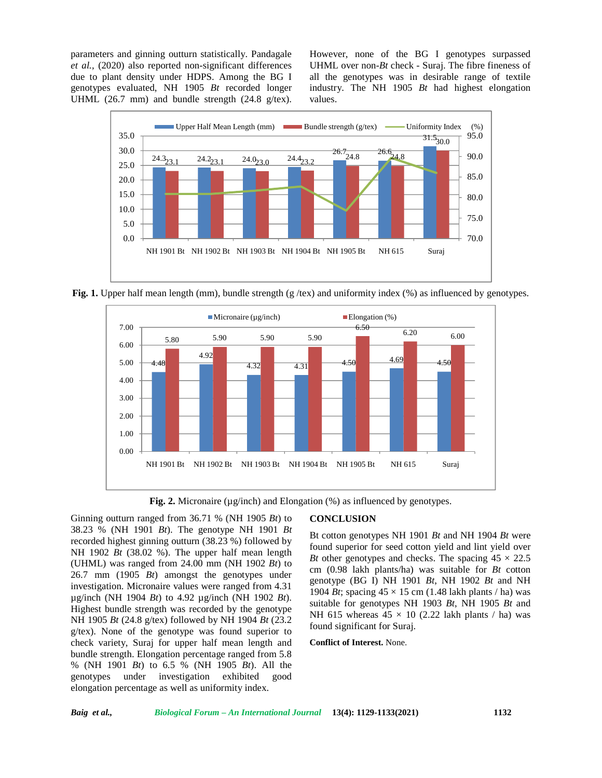parameters and ginning outturn statistically. Pandagale *et al.,* (2020) also reported non-significant differences due to plant density under HDPS. Among the BG I genotypes evaluated, NH 1905 *Bt* recorded longer UHML (26.7 mm) and bundle strength (24.8 g/tex).

However, none of the BG I genotypes surpassed UHML over non-*Bt* check - Suraj. The fibre fineness of all the genotypes was in desirable range of textile industry. The NH 1905 *Bt* had highest elongation values.



**Fig. 1.** Upper half mean length (mm), bundle strength (g/tex) and uniformity index (%) as influenced by genotypes.



**Fig. 2.** Micronaire (µg/inch) and Elongation (%) as influenced by genotypes.

Ginning outturn ranged from 36.71 % (NH 1905 *Bt*) to 38.23 % (NH 1901 *Bt*). The genotype NH 1901 *Bt* recorded highest ginning outturn (38.23 %) followed by NH 1902 *Bt* (38.02 %). The upper half mean length (UHML) was ranged from 24.00 mm (NH 1902 *Bt*) to 26.7 mm (1905 *Bt*) amongst the genotypes under investigation. Micronaire values were ranged from 4.31 µg/inch (NH 1904 *Bt*) to 4.92 µg/inch (NH 1902 *Bt*). Highest bundle strength was recorded by the genotype NH 1905 *Bt* (24.8 g/tex) followed by NH 1904 *Bt* (23.2 g/tex). None of the genotype was found superior to check variety, Suraj for upper half mean length and bundle strength. Elongation percentage ranged from 5.8 % (NH 1901 *Bt*) to 6.5 % (NH 1905 *Bt*). All the genotypes under investigation exhibited good elongation percentage as well as uniformity index.

### **CONCLUSION**

Bt cotton genotypes NH 1901 *Bt* and NH 1904 *Bt* were found superior for seed cotton yield and lint yield over *Bt* other genotypes and checks. The spacing  $45 \times 22.5$ cm (0.98 lakh plants/ha) was suitable for *Bt* cotton genotype (BG I) NH 1901 *Bt*, NH 1902 *Bt* and NH 1904 *Bt*; spacing  $45 \times 15$  cm (1.48 lakh plants / ha) was suitable for genotypes NH 1903 *Bt*, NH 1905 *Bt* and NH 615 whereas  $45 \times 10$  (2.22 lakh plants / ha) was found significant for Suraj.

**Conflict of Interest.** None.